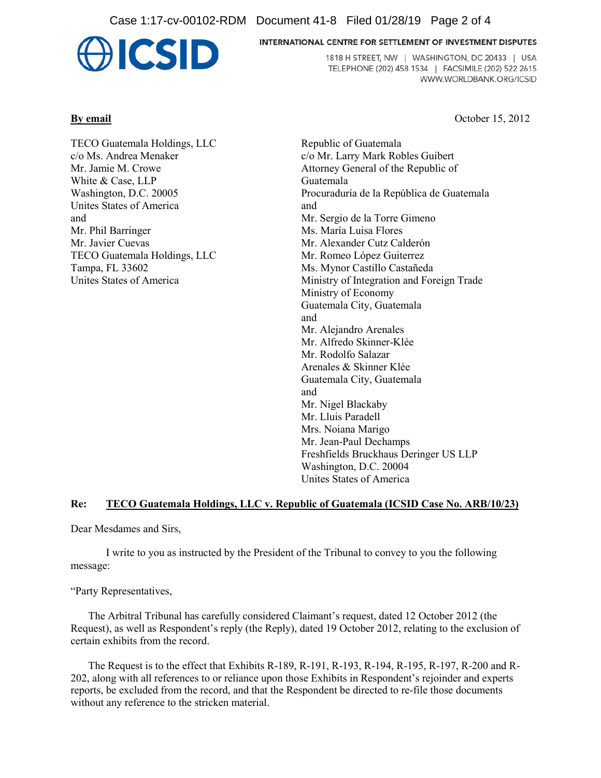Case 1:17-cv-00102-RDM Document 41-8 Filed 01/28/19 Page 2 of 4



#### INTERNATIONAL CENTRE FOR SETTLEMENT OF INVESTMENT DISPUTES

1818 H STREET, NW | WASHINGTON, DC 20433 | USA TELEPHONE (202) 458 1534 | FACSIMILE (202) 522 2615 WWW.WORLDBANK.ORG/ICSID

**By email** October 15, 2012

TECO Guatemala Holdings, LLC c/o Ms. Andrea Menaker Mr. Jamie M. Crowe White & Case, LLP Washington, D.C. 20005 Unites States of America and Mr. Phil Barringer Mr. Javier Cuevas TECO Guatemala Holdings, LLC Tampa, FL 33602 Unites States of America

Republic of Guatemala c/o Mr. Larry Mark Robles Guibert Attorney General of the Republic of Guatemala Procuraduría de la República de Guatemala and Mr. Sergio de la Torre Gimeno Ms. María Luisa Flores Mr. Alexander Cutz Calderón Mr. Romeo López Guiterrez Ms. Mynor Castillo Castañeda Ministry of Integration and Foreign Trade Ministry of Economy Guatemala City, Guatemala and Mr. Alejandro Arenales Mr. Alfredo Skinner-Klée Mr. Rodolfo Salazar Arenales & Skinner Klée Guatemala City, Guatemala and Mr. Nigel Blackaby Mr. Lluis Paradell Mrs. Noiana Marigo Mr. Jean-Paul Dechamps Freshfields Bruckhaus Deringer US LLP Washington, D.C. 20004 Unites States of America

## **Re: TECO Guatemala Holdings, LLC v. Republic of Guatemala (ICSID Case No. ARB/10/23)**

Dear Mesdames and Sirs,

I write to you as instructed by the President of the Tribunal to convey to you the following message:

"Party Representatives,

The Arbitral Tribunal has carefully considered Claimant's request, dated 12 October 2012 (the Request), as well as Respondent's reply (the Reply), dated 19 October 2012, relating to the exclusion of certain exhibits from the record.

The Request is to the effect that Exhibits R-189, R-191, R-193, R-194, R-195, R-197, R-200 and R-202, along with all references to or reliance upon those Exhibits in Respondent's rejoinder and experts reports, be excluded from the record, and that the Respondent be directed to re-file those documents without any reference to the stricken material.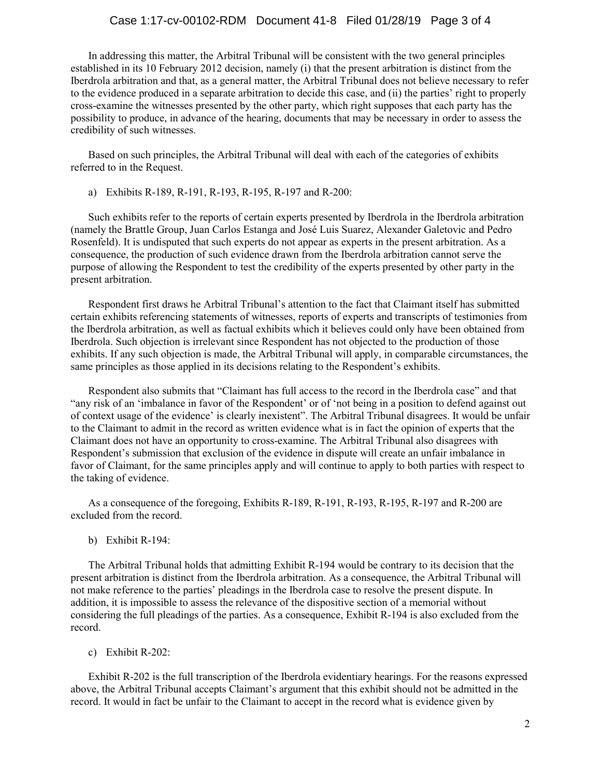### Case 1:17-cv-00102-RDM Document 41-8 Filed 01/28/19 Page 3 of 4

In addressing this matter, the Arbitral Tribunal will be consistent with the two general principles established in its 10 February 2012 decision, namely (i) that the present arbitration is distinct from the Iberdrola arbitration and that, as a general matter, the Arbitral Tribunal does not believe necessary to refer to the evidence produced in a separate arbitration to decide this case, and (ii) the parties' right to properly cross-examine the witnesses presented by the other party, which right supposes that each party has the possibility to produce, in advance of the hearing, documents that may be necessary in order to assess the credibility of such witnesses.

Based on such principles, the Arbitral Tribunal will deal with each of the categories of exhibits referred to in the Request.

a) Exhibits R-189, R-191, R-193, R-195, R-197 and R-200:

Such exhibits refer to the reports of certain experts presented by Iberdrola in the Iberdrola arbitration (namely the Brattle Group, Juan Carlos Estanga and José Luis Suarez, Alexander Galetovic and Pedro Rosenfeld). It is undisputed that such experts do not appear as experts in the present arbitration. As a consequence, the production of such evidence drawn from the Iberdrola arbitration cannot serve the purpose of allowing the Respondent to test the credibility of the experts presented by other party in the present arbitration.

Respondent first draws he Arbitral Tribunal's attention to the fact that Claimant itself has submitted certain exhibits referencing statements of witnesses, reports of experts and transcripts of testimonies from the Iberdrola arbitration, as well as factual exhibits which it believes could only have been obtained from Iberdrola. Such objection is irrelevant since Respondent has not objected to the production of those exhibits. If any such objection is made, the Arbitral Tribunal will apply, in comparable circumstances, the same principles as those applied in its decisions relating to the Respondent's exhibits.

Respondent also submits that "Claimant has full access to the record in the Iberdrola case" and that "any risk of an 'imbalance in favor of the Respondent' or of 'not being in a position to defend against out of context usage of the evidence' is clearly inexistent". The Arbitral Tribunal disagrees. It would be unfair to the Claimant to admit in the record as written evidence what is in fact the opinion of experts that the Claimant does not have an opportunity to cross-examine. The Arbitral Tribunal also disagrees with Respondent's submission that exclusion of the evidence in dispute will create an unfair imbalance in favor of Claimant, for the same principles apply and will continue to apply to both parties with respect to the taking of evidence.

As a consequence of the foregoing, Exhibits R-189, R-191, R-193, R-195, R-197 and R-200 are excluded from the record.

b) Exhibit R-194:

The Arbitral Tribunal holds that admitting Exhibit R-194 would be contrary to its decision that the present arbitration is distinct from the Iberdrola arbitration. As a consequence, the Arbitral Tribunal will not make reference to the parties' pleadings in the Iberdrola case to resolve the present dispute. In addition, it is impossible to assess the relevance of the dispositive section of a memorial without considering the full pleadings of the parties. As a consequence, Exhibit R-194 is also excluded from the record.

c) Exhibit R-202:

Exhibit R-202 is the full transcription of the Iberdrola evidentiary hearings. For the reasons expressed above, the Arbitral Tribunal accepts Claimant's argument that this exhibit should not be admitted in the record. It would in fact be unfair to the Claimant to accept in the record what is evidence given by